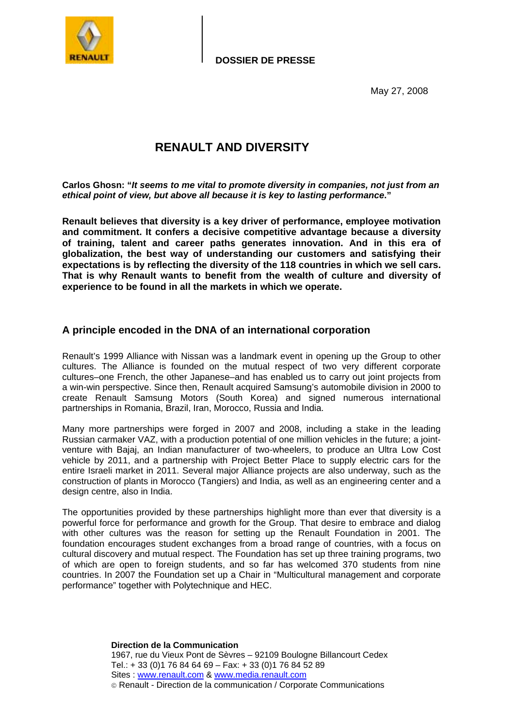

May 27, 2008

# **RENAULT AND DIVERSITY**

**Carlos Ghosn: "***It seems to me vital to promote diversity in companies, not just from an ethical point of view, but above all because it is key to lasting performance***."** 

**Renault believes that diversity is a key driver of performance, employee motivation and commitment. It confers a decisive competitive advantage because a diversity of training, talent and career paths generates innovation. And in this era of globalization, the best way of understanding our customers and satisfying their expectations is by reflecting the diversity of the 118 countries in which we sell cars. That is why Renault wants to benefit from the wealth of culture and diversity of experience to be found in all the markets in which we operate.** 

# **A principle encoded in the DNA of an international corporation**

Renault's 1999 Alliance with Nissan was a landmark event in opening up the Group to other cultures. The Alliance is founded on the mutual respect of two very different corporate cultures–one French, the other Japanese–and has enabled us to carry out joint projects from a win-win perspective. Since then, Renault acquired Samsung's automobile division in 2000 to create Renault Samsung Motors (South Korea) and signed numerous international partnerships in Romania, Brazil, Iran, Morocco, Russia and India.

Many more partnerships were forged in 2007 and 2008, including a stake in the leading Russian carmaker VAZ, with a production potential of one million vehicles in the future; a jointventure with Bajaj, an Indian manufacturer of two-wheelers, to produce an Ultra Low Cost vehicle by 2011, and a partnership with Project Better Place to supply electric cars for the entire Israeli market in 2011. Several major Alliance projects are also underway, such as the construction of plants in Morocco (Tangiers) and India, as well as an engineering center and a design centre, also in India.

The opportunities provided by these partnerships highlight more than ever that diversity is a powerful force for performance and growth for the Group. That desire to embrace and dialog with other cultures was the reason for setting up the Renault Foundation in 2001. The foundation encourages student exchanges from a broad range of countries, with a focus on cultural discovery and mutual respect. The Foundation has set up three training programs, two of which are open to foreign students, and so far has welcomed 370 students from nine countries. In 2007 the Foundation set up a Chair in "Multicultural management and corporate performance" together with Polytechnique and HEC.

> **Direction de la Communication**  1967, rue du Vieux Pont de Sèvres – 92109 Boulogne Billancourt Cedex Tel.: + 33 (0)1 76 84 64 69 – Fax: + 33 (0)1 76 84 52 89 Sites : www.renault.com & www.media.renault.com Renault - Direction de la communication / Corporate Communications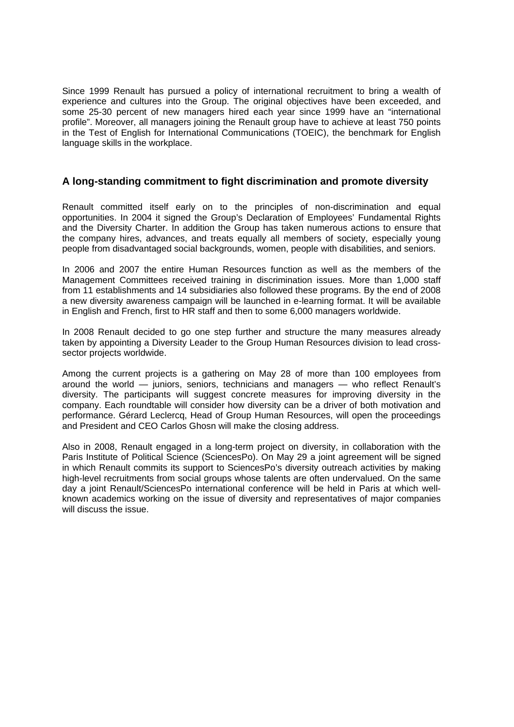Since 1999 Renault has pursued a policy of international recruitment to bring a wealth of experience and cultures into the Group. The original objectives have been exceeded, and some 25-30 percent of new managers hired each year since 1999 have an "international profile". Moreover, all managers joining the Renault group have to achieve at least 750 points in the Test of English for International Communications (TOEIC), the benchmark for English language skills in the workplace.

# **A long-standing commitment to fight discrimination and promote diversity**

Renault committed itself early on to the principles of non-discrimination and equal opportunities. In 2004 it signed the Group's Declaration of Employees' Fundamental Rights and the Diversity Charter. In addition the Group has taken numerous actions to ensure that the company hires, advances, and treats equally all members of society, especially young people from disadvantaged social backgrounds, women, people with disabilities, and seniors.

In 2006 and 2007 the entire Human Resources function as well as the members of the Management Committees received training in discrimination issues. More than 1,000 staff from 11 establishments and 14 subsidiaries also followed these programs. By the end of 2008 a new diversity awareness campaign will be launched in e-learning format. It will be available in English and French, first to HR staff and then to some 6,000 managers worldwide.

In 2008 Renault decided to go one step further and structure the many measures already taken by appointing a Diversity Leader to the Group Human Resources division to lead crosssector projects worldwide.

Among the current projects is a gathering on May 28 of more than 100 employees from around the world — juniors, seniors, technicians and managers — who reflect Renault's diversity. The participants will suggest concrete measures for improving diversity in the company. Each roundtable will consider how diversity can be a driver of both motivation and performance. Gérard Leclercq, Head of Group Human Resources, will open the proceedings and President and CEO Carlos Ghosn will make the closing address.

Also in 2008, Renault engaged in a long-term project on diversity, in collaboration with the Paris Institute of Political Science (SciencesPo). On May 29 a joint agreement will be signed in which Renault commits its support to SciencesPo's diversity outreach activities by making high-level recruitments from social groups whose talents are often undervalued. On the same day a joint Renault/SciencesPo international conference will be held in Paris at which wellknown academics working on the issue of diversity and representatives of major companies will discuss the issue.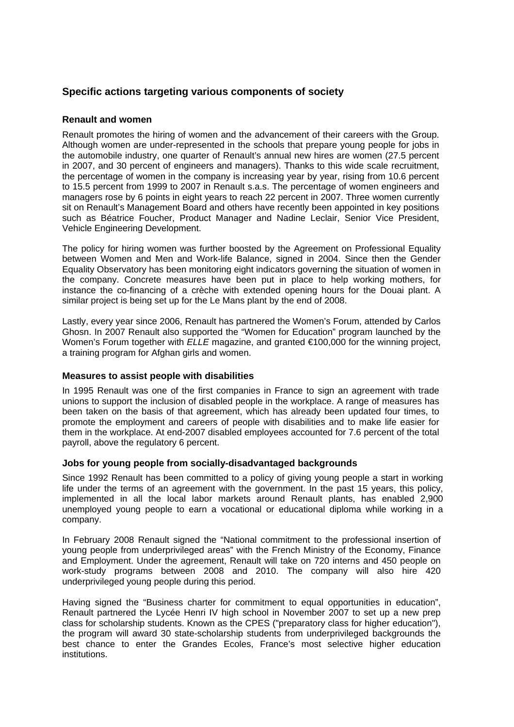# **Specific actions targeting various components of society**

## **Renault and women**

Renault promotes the hiring of women and the advancement of their careers with the Group. Although women are under-represented in the schools that prepare young people for jobs in the automobile industry, one quarter of Renault's annual new hires are women (27.5 percent in 2007, and 30 percent of engineers and managers). Thanks to this wide scale recruitment, the percentage of women in the company is increasing year by year, rising from 10.6 percent to 15.5 percent from 1999 to 2007 in Renault s.a.s. The percentage of women engineers and managers rose by 6 points in eight years to reach 22 percent in 2007. Three women currently sit on Renault's Management Board and others have recently been appointed in key positions such as Béatrice Foucher, Product Manager and Nadine Leclair, Senior Vice President, Vehicle Engineering Development.

The policy for hiring women was further boosted by the Agreement on Professional Equality between Women and Men and Work-life Balance, signed in 2004. Since then the Gender Equality Observatory has been monitoring eight indicators governing the situation of women in the company. Concrete measures have been put in place to help working mothers, for instance the co-financing of a crèche with extended opening hours for the Douai plant. A similar project is being set up for the Le Mans plant by the end of 2008.

Lastly, every year since 2006, Renault has partnered the Women's Forum, attended by Carlos Ghosn. In 2007 Renault also supported the "Women for Education" program launched by the Women's Forum together with *ELLE* magazine, and granted €100,000 for the winning project, a training program for Afghan girls and women.

## **Measures to assist people with disabilities**

In 1995 Renault was one of the first companies in France to sign an agreement with trade unions to support the inclusion of disabled people in the workplace. A range of measures has been taken on the basis of that agreement, which has already been updated four times, to promote the employment and careers of people with disabilities and to make life easier for them in the workplace. At end-2007 disabled employees accounted for 7.6 percent of the total payroll, above the regulatory 6 percent.

## **Jobs for young people from socially-disadvantaged backgrounds**

Since 1992 Renault has been committed to a policy of giving young people a start in working life under the terms of an agreement with the government. In the past 15 years, this policy, implemented in all the local labor markets around Renault plants, has enabled 2,900 unemployed young people to earn a vocational or educational diploma while working in a company.

In February 2008 Renault signed the "National commitment to the professional insertion of young people from underprivileged areas" with the French Ministry of the Economy, Finance and Employment. Under the agreement, Renault will take on 720 interns and 450 people on work-study programs between 2008 and 2010. The company will also hire 420 underprivileged young people during this period.

Having signed the "Business charter for commitment to equal opportunities in education", Renault partnered the Lycée Henri IV high school in November 2007 to set up a new prep class for scholarship students. Known as the CPES ("preparatory class for higher education"), the program will award 30 state-scholarship students from underprivileged backgrounds the best chance to enter the Grandes Ecoles, France's most selective higher education institutions.